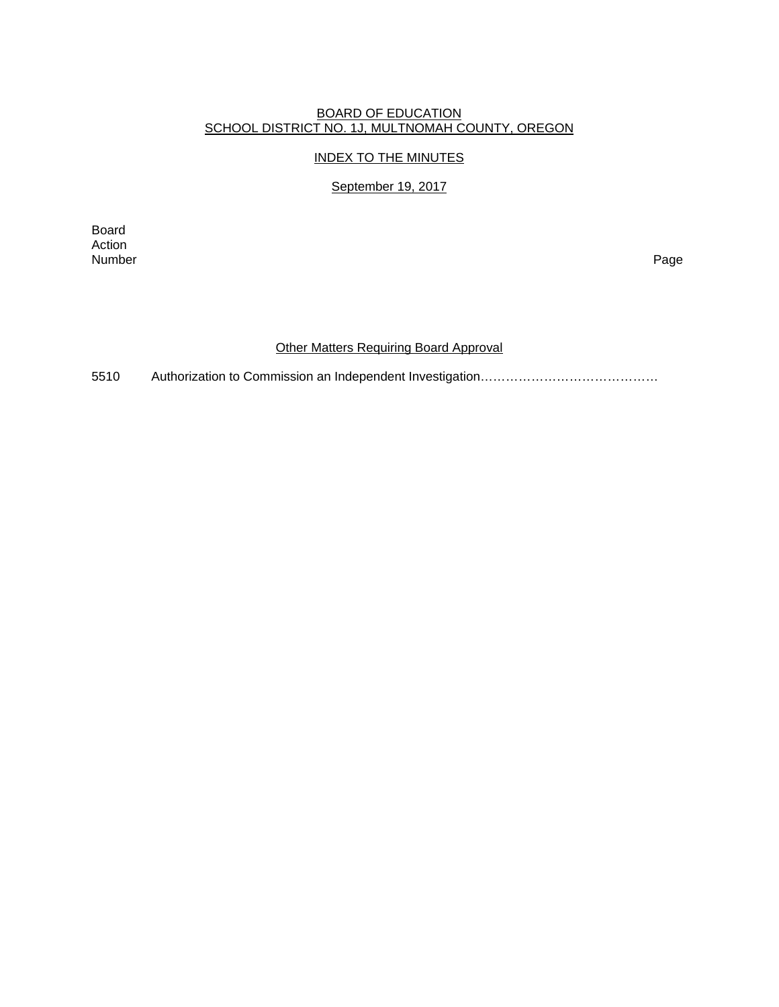# BOARD OF EDUCATION SCHOOL DISTRICT NO. 1J, MULTNOMAH COUNTY, OREGON

# INDEX TO THE MINUTES

## September 19, 2017

Board Action<br>Number Number Page

#### Other Matters Requiring Board Approval

5510 Authorization to Commission an Independent Investigation……………………………………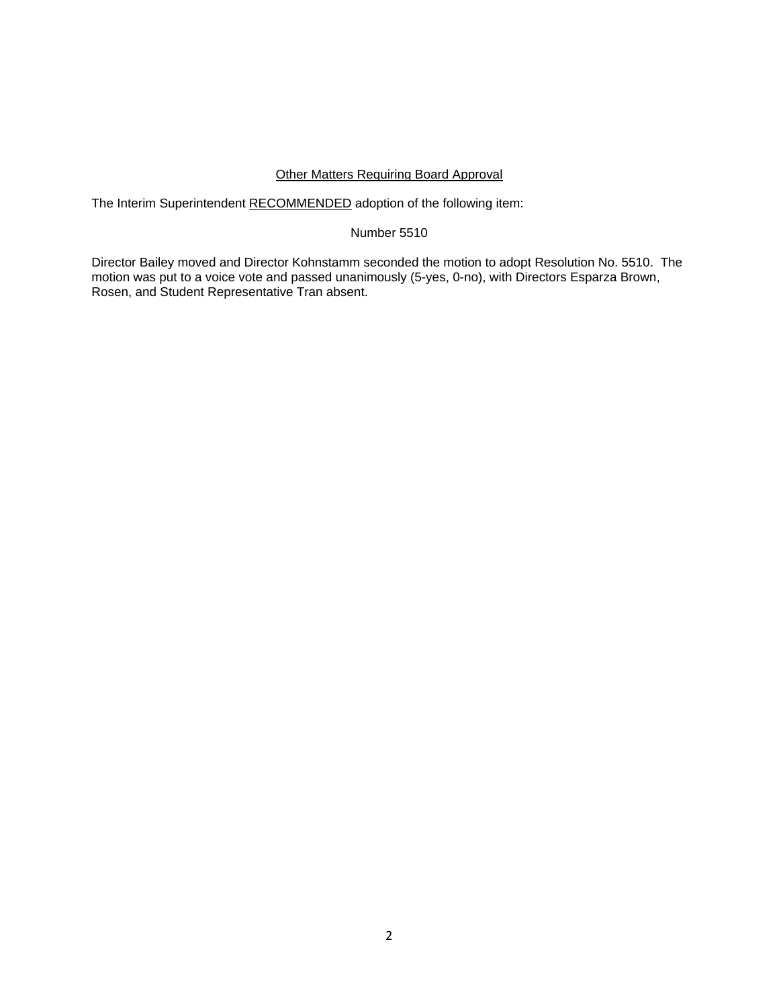### Other Matters Requiring Board Approval

The Interim Superintendent RECOMMENDED adoption of the following item:

### Number 5510

Director Bailey moved and Director Kohnstamm seconded the motion to adopt Resolution No. 5510. The motion was put to a voice vote and passed unanimously (5-yes, 0-no), with Directors Esparza Brown, Rosen, and Student Representative Tran absent.